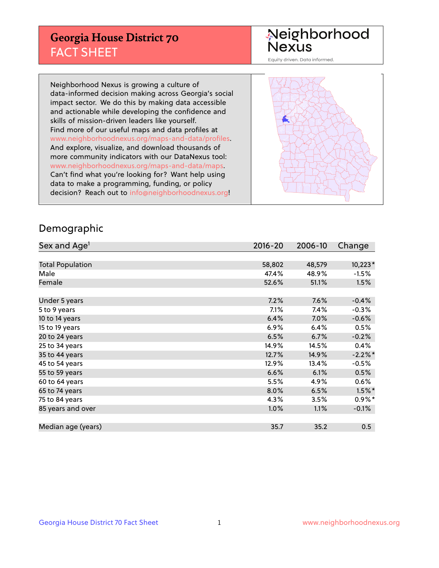## **Georgia House District 70** FACT SHEET

# Neighborhood<br>Nexus

Equity driven. Data informed.

Neighborhood Nexus is growing a culture of data-informed decision making across Georgia's social impact sector. We do this by making data accessible and actionable while developing the confidence and skills of mission-driven leaders like yourself. Find more of our useful maps and data profiles at www.neighborhoodnexus.org/maps-and-data/profiles. And explore, visualize, and download thousands of more community indicators with our DataNexus tool: www.neighborhoodnexus.org/maps-and-data/maps. Can't find what you're looking for? Want help using data to make a programming, funding, or policy decision? Reach out to [info@neighborhoodnexus.org!](mailto:info@neighborhoodnexus.org)



### Demographic

| Sex and Age <sup>1</sup> | $2016 - 20$ | 2006-10 | Change    |
|--------------------------|-------------|---------|-----------|
|                          |             |         |           |
| <b>Total Population</b>  | 58,802      | 48,579  | $10,223*$ |
| Male                     | 47.4%       | 48.9%   | $-1.5%$   |
| Female                   | 52.6%       | 51.1%   | 1.5%      |
|                          |             |         |           |
| Under 5 years            | 7.2%        | 7.6%    | $-0.4%$   |
| 5 to 9 years             | $7.1\%$     | 7.4%    | $-0.3%$   |
| 10 to 14 years           | 6.4%        | 7.0%    | $-0.6%$   |
| 15 to 19 years           | 6.9%        | 6.4%    | 0.5%      |
| 20 to 24 years           | 6.5%        | 6.7%    | $-0.2%$   |
| 25 to 34 years           | 14.9%       | 14.5%   | 0.4%      |
| 35 to 44 years           | 12.7%       | 14.9%   | $-2.2%$ * |
| 45 to 54 years           | 12.9%       | 13.4%   | $-0.5%$   |
| 55 to 59 years           | 6.6%        | 6.1%    | 0.5%      |
| 60 to 64 years           | 5.5%        | 4.9%    | $0.6\%$   |
| 65 to 74 years           | 8.0%        | 6.5%    | $1.5\%$ * |
| 75 to 84 years           | 4.3%        | 3.5%    | $0.9\%$ * |
| 85 years and over        | 1.0%        | 1.1%    | $-0.1%$   |
|                          |             |         |           |
| Median age (years)       | 35.7        | 35.2    | 0.5       |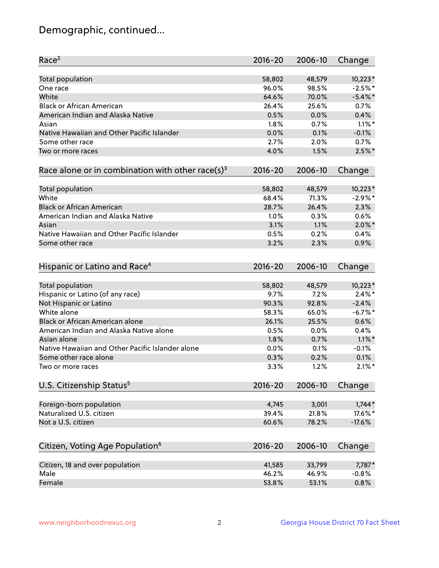## Demographic, continued...

| Race <sup>2</sup>                                            | $2016 - 20$    | 2006-10 | Change     |
|--------------------------------------------------------------|----------------|---------|------------|
| <b>Total population</b>                                      | 58,802         | 48,579  | $10,223*$  |
| One race                                                     | 96.0%          | 98.5%   | $-2.5%$ *  |
| White                                                        | 64.6%          | 70.0%   | $-5.4\%$ * |
| <b>Black or African American</b>                             | 26.4%          | 25.6%   | 0.7%       |
| American Indian and Alaska Native                            | 0.5%           | 0.0%    | 0.4%       |
| Asian                                                        | 1.8%           | 0.7%    | $1.1\%$ *  |
| Native Hawaiian and Other Pacific Islander                   | 0.0%           | 0.1%    | $-0.1%$    |
| Some other race                                              | 2.7%           | 2.0%    | 0.7%       |
| Two or more races                                            | 4.0%           | 1.5%    | $2.5%$ *   |
| Race alone or in combination with other race(s) <sup>3</sup> | $2016 - 20$    | 2006-10 | Change     |
| Total population                                             | 58,802         | 48,579  | $10,223*$  |
| White                                                        | 68.4%          | 71.3%   | $-2.9%$ *  |
| <b>Black or African American</b>                             | 28.7%          | 26.4%   | 2.3%       |
| American Indian and Alaska Native                            | 1.0%           | 0.3%    | 0.6%       |
| Asian                                                        | 3.1%           | 1.1%    | $2.0\%$ *  |
| Native Hawaiian and Other Pacific Islander                   | 0.5%           | 0.2%    | 0.4%       |
| Some other race                                              | 3.2%           | 2.3%    | 0.9%       |
| Hispanic or Latino and Race <sup>4</sup>                     | $2016 - 20$    | 2006-10 | Change     |
| <b>Total population</b>                                      | 58,802         | 48,579  | $10,223*$  |
| Hispanic or Latino (of any race)                             | 9.7%           | 7.2%    | $2.4\%$ *  |
| Not Hispanic or Latino                                       | 90.3%          | 92.8%   | $-2.4%$    |
| White alone                                                  | 58.3%          | 65.0%   | $-6.7%$ *  |
| Black or African American alone                              | 26.1%          | 25.5%   | 0.6%       |
| American Indian and Alaska Native alone                      | 0.5%           | 0.0%    | 0.4%       |
| Asian alone                                                  | 1.8%           | 0.7%    | $1.1\%$ *  |
| Native Hawaiian and Other Pacific Islander alone             | 0.0%           | 0.1%    | $-0.1%$    |
| Some other race alone                                        | 0.3%           | 0.2%    | 0.1%       |
| Two or more races                                            | 3.3%           | 1.2%    | $2.1\%$ *  |
| U.S. Citizenship Status <sup>5</sup>                         | $2016 - 20$    | 2006-10 | Change     |
|                                                              |                |         |            |
| Foreign-born population<br>Naturalized U.S. citizen          | 4,745          | 3,001   | $1,744*$   |
|                                                              | 39.4%<br>60.6% | 21.8%   | 17.6%*     |
| Not a U.S. citizen                                           |                | 78.2%   | $-17.6%$   |
| Citizen, Voting Age Population <sup>6</sup>                  | 2016-20        | 2006-10 | Change     |
| Citizen, 18 and over population                              | 41,585         | 33,799  | 7,787*     |
| Male                                                         | 46.2%          | 46.9%   | $-0.8%$    |
| Female                                                       | 53.8%          | 53.1%   | 0.8%       |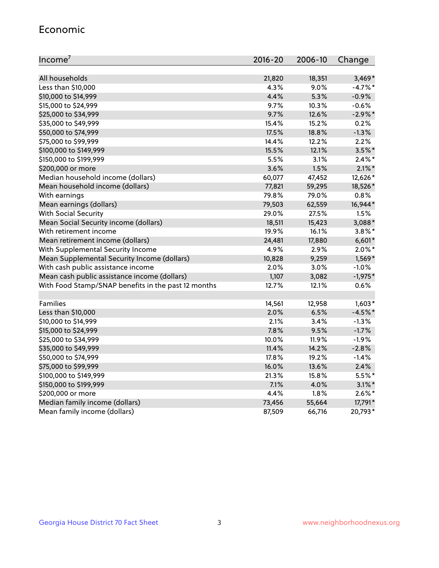#### Economic

| Income <sup>7</sup>                                 | $2016 - 20$ | 2006-10 | Change     |
|-----------------------------------------------------|-------------|---------|------------|
|                                                     |             |         |            |
| All households                                      | 21,820      | 18,351  | $3,469*$   |
| Less than \$10,000                                  | 4.3%        | 9.0%    | $-4.7%$ *  |
| \$10,000 to \$14,999                                | 4.4%        | 5.3%    | $-0.9%$    |
| \$15,000 to \$24,999                                | 9.7%        | 10.3%   | $-0.6%$    |
| \$25,000 to \$34,999                                | 9.7%        | 12.6%   | $-2.9\%$ * |
| \$35,000 to \$49,999                                | 15.4%       | 15.2%   | 0.2%       |
| \$50,000 to \$74,999                                | 17.5%       | 18.8%   | $-1.3%$    |
| \$75,000 to \$99,999                                | 14.4%       | 12.2%   | 2.2%       |
| \$100,000 to \$149,999                              | 15.5%       | 12.1%   | $3.5%$ *   |
| \$150,000 to \$199,999                              | 5.5%        | 3.1%    | $2.4\%$ *  |
| \$200,000 or more                                   | 3.6%        | 1.5%    | $2.1\%$ *  |
| Median household income (dollars)                   | 60,077      | 47,452  | 12,626*    |
| Mean household income (dollars)                     | 77,821      | 59,295  | 18,526*    |
| With earnings                                       | 79.8%       | 79.0%   | 0.8%       |
| Mean earnings (dollars)                             | 79,503      | 62,559  | 16,944*    |
| <b>With Social Security</b>                         | 29.0%       | 27.5%   | 1.5%       |
| Mean Social Security income (dollars)               | 18,511      | 15,423  | 3,088*     |
| With retirement income                              | 19.9%       | 16.1%   | $3.8\%$ *  |
| Mean retirement income (dollars)                    | 24,481      | 17,880  | $6,601*$   |
| With Supplemental Security Income                   | 4.9%        | 2.9%    | $2.0\%$ *  |
| Mean Supplemental Security Income (dollars)         | 10,828      | 9,259   | 1,569*     |
| With cash public assistance income                  | 2.0%        | 3.0%    | $-1.0%$    |
| Mean cash public assistance income (dollars)        | 1,107       | 3,082   | $-1,975*$  |
| With Food Stamp/SNAP benefits in the past 12 months | 12.7%       | 12.1%   | 0.6%       |
|                                                     |             |         |            |
| Families                                            | 14,561      | 12,958  | $1,603*$   |
| Less than \$10,000                                  | 2.0%        | 6.5%    | $-4.5%$ *  |
| \$10,000 to \$14,999                                | 2.1%        | 3.4%    | $-1.3%$    |
| \$15,000 to \$24,999                                | 7.8%        | 9.5%    | $-1.7%$    |
| \$25,000 to \$34,999                                | 10.0%       | 11.9%   | $-1.9%$    |
| \$35,000 to \$49,999                                | 11.4%       | 14.2%   | $-2.8%$    |
| \$50,000 to \$74,999                                | 17.8%       | 19.2%   | $-1.4%$    |
| \$75,000 to \$99,999                                | 16.0%       | 13.6%   | 2.4%       |
| \$100,000 to \$149,999                              | 21.3%       | 15.8%   | 5.5%*      |
| \$150,000 to \$199,999                              | 7.1%        | 4.0%    | $3.1\%$ *  |
| \$200,000 or more                                   | 4.4%        | 1.8%    | $2.6\%$ *  |
| Median family income (dollars)                      | 73,456      | 55,664  | 17,791*    |
| Mean family income (dollars)                        | 87,509      | 66,716  | 20,793*    |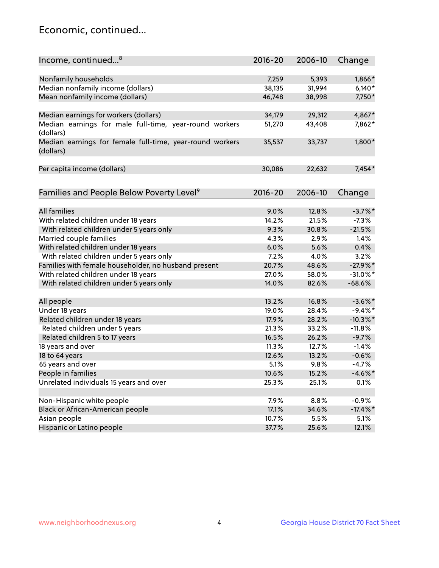## Economic, continued...

| Income, continued <sup>8</sup>                                        | $2016 - 20$ | 2006-10 | Change      |
|-----------------------------------------------------------------------|-------------|---------|-------------|
|                                                                       |             |         |             |
| Nonfamily households                                                  | 7,259       | 5,393   | 1,866*      |
| Median nonfamily income (dollars)                                     | 38,135      | 31,994  | $6,140*$    |
| Mean nonfamily income (dollars)                                       | 46,748      | 38,998  | 7,750*      |
| Median earnings for workers (dollars)                                 | 34,179      | 29,312  | 4,867*      |
| Median earnings for male full-time, year-round workers<br>(dollars)   | 51,270      | 43,408  | 7,862*      |
| Median earnings for female full-time, year-round workers<br>(dollars) | 35,537      | 33,737  | $1,800*$    |
| Per capita income (dollars)                                           | 30,086      | 22,632  | $7,454*$    |
| Families and People Below Poverty Level <sup>9</sup>                  | $2016 - 20$ | 2006-10 | Change      |
|                                                                       |             |         |             |
| <b>All families</b>                                                   | 9.0%        | 12.8%   | $-3.7\%$ *  |
| With related children under 18 years                                  | 14.2%       | 21.5%   | $-7.3%$     |
| With related children under 5 years only                              | 9.3%        | 30.8%   | $-21.5%$    |
| Married couple families                                               | 4.3%        | 2.9%    | 1.4%        |
| With related children under 18 years                                  | 6.0%        | 5.6%    | 0.4%        |
| With related children under 5 years only                              | 7.2%        | 4.0%    | 3.2%        |
| Families with female householder, no husband present                  | 20.7%       | 48.6%   | $-27.9%$    |
| With related children under 18 years                                  | 27.0%       | 58.0%   | $-31.0\%$ * |
| With related children under 5 years only                              | 14.0%       | 82.6%   | $-68.6%$    |
| All people                                                            | 13.2%       | 16.8%   | $-3.6\%$ *  |
| Under 18 years                                                        | 19.0%       | 28.4%   | $-9.4%$ *   |
| Related children under 18 years                                       | 17.9%       | 28.2%   | $-10.3\%$ * |
| Related children under 5 years                                        | 21.3%       | 33.2%   | $-11.8%$    |
| Related children 5 to 17 years                                        | 16.5%       | 26.2%   | $-9.7%$     |
| 18 years and over                                                     | 11.3%       | 12.7%   | $-1.4%$     |
| 18 to 64 years                                                        | 12.6%       | 13.2%   | $-0.6%$     |
| 65 years and over                                                     | 5.1%        | 9.8%    | $-4.7%$     |
| People in families                                                    | 10.6%       | 15.2%   | $-4.6\%$ *  |
| Unrelated individuals 15 years and over                               | 25.3%       | 25.1%   | 0.1%        |
|                                                                       |             |         |             |
| Non-Hispanic white people                                             | 7.9%        | 8.8%    | $-0.9%$     |
| Black or African-American people                                      | 17.1%       | 34.6%   | $-17.4\%$ * |
| Asian people                                                          | 10.7%       | 5.5%    | 5.1%        |
| Hispanic or Latino people                                             | 37.7%       | 25.6%   | 12.1%       |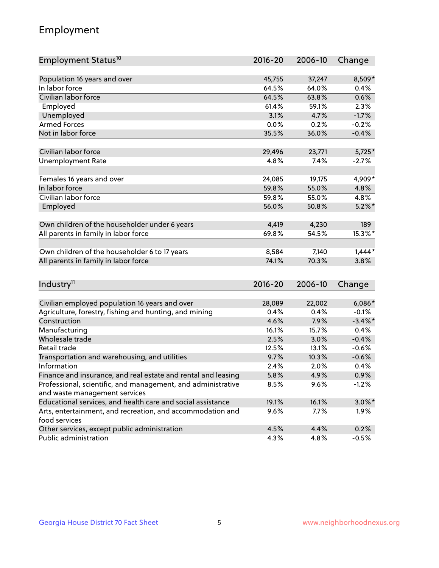## Employment

| Employment Status <sup>10</sup>                               | $2016 - 20$   | 2006-10 | Change             |
|---------------------------------------------------------------|---------------|---------|--------------------|
|                                                               |               |         |                    |
| Population 16 years and over                                  | 45,755        | 37,247  | 8,509*             |
| In labor force                                                | 64.5%         | 64.0%   | 0.4%               |
| Civilian labor force                                          | 64.5%         | 63.8%   | 0.6%               |
| Employed                                                      | 61.4%         | 59.1%   | 2.3%               |
| Unemployed                                                    | 3.1%          | 4.7%    | $-1.7%$            |
| <b>Armed Forces</b>                                           | 0.0%          | 0.2%    | $-0.2%$            |
| Not in labor force                                            | 35.5%         | 36.0%   | $-0.4%$            |
| Civilian labor force                                          | 29,496        | 23,771  | $5,725*$           |
|                                                               |               | 7.4%    |                    |
| <b>Unemployment Rate</b>                                      | 4.8%          |         | $-2.7%$            |
| Females 16 years and over                                     | 24,085        | 19,175  | 4,909*             |
| In labor force                                                | 59.8%         | 55.0%   | 4.8%               |
| Civilian labor force                                          | 59.8%         | 55.0%   | 4.8%               |
| Employed                                                      | 56.0%         | 50.8%   | $5.2\%$ *          |
|                                                               |               |         |                    |
| Own children of the householder under 6 years                 | 4,419         | 4,230   | 189                |
| All parents in family in labor force                          | 69.8%         | 54.5%   | 15.3%*             |
| Own children of the householder 6 to 17 years                 | 8,584         | 7,140   | $1,444*$           |
| All parents in family in labor force                          | 74.1%         | 70.3%   | 3.8%               |
|                                                               |               |         |                    |
| Industry <sup>11</sup>                                        | $2016 - 20$   | 2006-10 | Change             |
|                                                               |               |         |                    |
| Civilian employed population 16 years and over                | 28,089        | 22,002  | $6,086*$           |
| Agriculture, forestry, fishing and hunting, and mining        | 0.4%          | 0.4%    | $-0.1%$            |
| Construction                                                  | 4.6%          | 7.9%    | $-3.4\%$ *         |
| Manufacturing<br>Wholesale trade                              | 16.1%<br>2.5% | 15.7%   | 0.4%               |
| Retail trade                                                  |               | 3.0%    | $-0.4%$            |
|                                                               | 12.5%         | 13.1%   | $-0.6%$<br>$-0.6%$ |
| Transportation and warehousing, and utilities<br>Information  | 9.7%          | 10.3%   |                    |
| Finance and insurance, and real estate and rental and leasing | 2.4%          | 2.0%    | 0.4%               |
| Professional, scientific, and management, and administrative  | 5.8%          | 4.9%    | 0.9%               |
| and waste management services                                 | 8.5%          | 9.6%    | $-1.2%$            |
| Educational services, and health care and social assistance   | 19.1%         | 16.1%   | $3.0\%$ *          |
| Arts, entertainment, and recreation, and accommodation and    | 9.6%          | 7.7%    | $1.9\%$            |
| food services                                                 |               |         |                    |
| Other services, except public administration                  | 4.5%          | 4.4%    | 0.2%               |
| Public administration                                         | 4.3%          | 4.8%    | $-0.5%$            |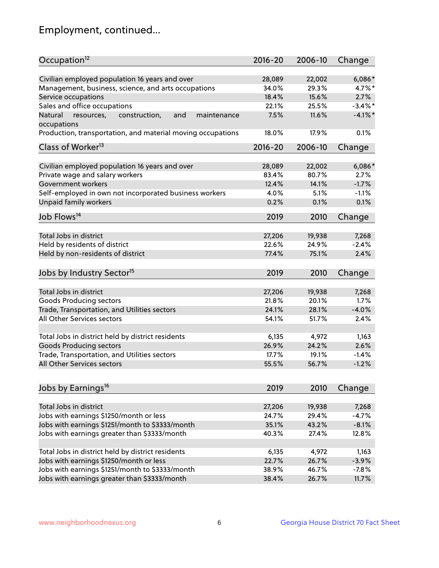## Employment, continued...

| Occupation <sup>12</sup>                                    | $2016 - 20$ | 2006-10 | Change     |
|-------------------------------------------------------------|-------------|---------|------------|
| Civilian employed population 16 years and over              | 28,089      | 22,002  | $6,086*$   |
| Management, business, science, and arts occupations         | 34.0%       | 29.3%   | 4.7%*      |
| Service occupations                                         | 18.4%       | 15.6%   | 2.7%       |
| Sales and office occupations                                | 22.1%       | 25.5%   | $-3.4\%$ * |
| and<br>maintenance<br>Natural                               | 7.5%        | 11.6%   | $-4.1\%$ * |
| resources,<br>construction,<br>occupations                  |             |         |            |
| Production, transportation, and material moving occupations | 18.0%       | 17.9%   | 0.1%       |
| Class of Worker <sup>13</sup>                               | $2016 - 20$ | 2006-10 | Change     |
| Civilian employed population 16 years and over              | 28,089      | 22,002  | 6,086*     |
| Private wage and salary workers                             | 83.4%       | 80.7%   | 2.7%       |
| Government workers                                          | 12.4%       | 14.1%   | $-1.7%$    |
| Self-employed in own not incorporated business workers      | 4.0%        | 5.1%    | $-1.1%$    |
| Unpaid family workers                                       | 0.2%        | 0.1%    | 0.1%       |
| Job Flows <sup>14</sup>                                     | 2019        | 2010    | Change     |
|                                                             |             |         |            |
| Total Jobs in district                                      | 27,206      | 19,938  | 7,268      |
| Held by residents of district                               | 22.6%       | 24.9%   | $-2.4%$    |
| Held by non-residents of district                           | 77.4%       | 75.1%   | 2.4%       |
| Jobs by Industry Sector <sup>15</sup>                       | 2019        | 2010    | Change     |
|                                                             |             |         |            |
| Total Jobs in district                                      | 27,206      | 19,938  | 7,268      |
| Goods Producing sectors                                     | 21.8%       | 20.1%   | 1.7%       |
| Trade, Transportation, and Utilities sectors                | 24.1%       | 28.1%   | $-4.0%$    |
| All Other Services sectors                                  | 54.1%       | 51.7%   | 2.4%       |
| Total Jobs in district held by district residents           | 6,135       | 4,972   | 1,163      |
| <b>Goods Producing sectors</b>                              | 26.9%       | 24.2%   | 2.6%       |
| Trade, Transportation, and Utilities sectors                | 17.7%       | 19.1%   | $-1.4%$    |
| All Other Services sectors                                  | 55.5%       | 56.7%   | $-1.2%$    |
|                                                             |             |         |            |
| Jobs by Earnings <sup>16</sup>                              | 2019        | 2010    | Change     |
| Total Jobs in district                                      | 27,206      | 19,938  | 7,268      |
| Jobs with earnings \$1250/month or less                     | 24.7%       | 29.4%   | $-4.7%$    |
| Jobs with earnings \$1251/month to \$3333/month             | 35.1%       | 43.2%   | $-8.1%$    |
|                                                             |             |         |            |
| Jobs with earnings greater than \$3333/month                | 40.3%       | 27.4%   | 12.8%      |
| Total Jobs in district held by district residents           | 6,135       | 4,972   | 1,163      |
| Jobs with earnings \$1250/month or less                     | 22.7%       | 26.7%   | $-3.9%$    |
| Jobs with earnings \$1251/month to \$3333/month             | 38.9%       | 46.7%   | $-7.8%$    |
| Jobs with earnings greater than \$3333/month                | 38.4%       | 26.7%   | 11.7%      |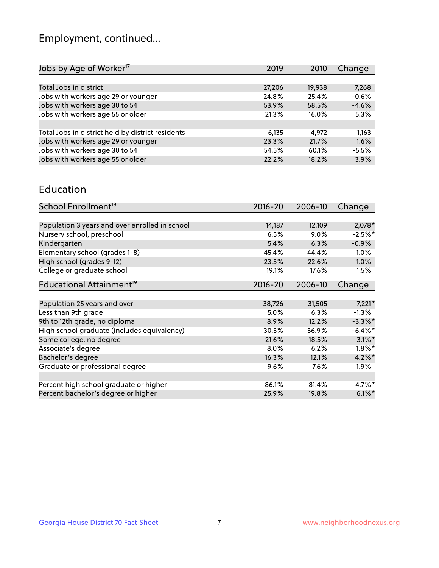## Employment, continued...

| 2019   | 2010   | Change  |
|--------|--------|---------|
|        |        |         |
| 27,206 | 19,938 | 7,268   |
| 24.8%  | 25.4%  | $-0.6%$ |
| 53.9%  | 58.5%  | $-4.6%$ |
| 21.3%  | 16.0%  | 5.3%    |
|        |        |         |
| 6,135  | 4,972  | 1,163   |
| 23.3%  | 21.7%  | 1.6%    |
| 54.5%  | 60.1%  | $-5.5%$ |
| 22.2%  | 18.2%  | 3.9%    |
|        |        |         |

#### Education

| School Enrollment <sup>18</sup>                | $2016 - 20$ | 2006-10 | Change     |
|------------------------------------------------|-------------|---------|------------|
|                                                |             |         |            |
| Population 3 years and over enrolled in school | 14,187      | 12,109  | $2,078*$   |
| Nursery school, preschool                      | 6.5%        | $9.0\%$ | $-2.5%$ *  |
| Kindergarten                                   | 5.4%        | 6.3%    | $-0.9%$    |
| Elementary school (grades 1-8)                 | 45.4%       | 44.4%   | $1.0\%$    |
| High school (grades 9-12)                      | 23.5%       | 22.6%   | 1.0%       |
| College or graduate school                     | 19.1%       | 17.6%   | 1.5%       |
| Educational Attainment <sup>19</sup>           | $2016 - 20$ | 2006-10 | Change     |
|                                                |             |         |            |
| Population 25 years and over                   | 38,726      | 31,505  | $7,221*$   |
| Less than 9th grade                            | 5.0%        | 6.3%    | $-1.3%$    |
| 9th to 12th grade, no diploma                  | 8.9%        | 12.2%   | $-3.3\%$ * |
| High school graduate (includes equivalency)    | 30.5%       | 36.9%   | $-6.4\%$ * |
| Some college, no degree                        | 21.6%       | 18.5%   | $3.1\%$ *  |
| Associate's degree                             | 8.0%        | 6.2%    | $1.8\%$ *  |
| Bachelor's degree                              | 16.3%       | 12.1%   | $4.2\%$ *  |
| Graduate or professional degree                | 9.6%        | 7.6%    | $1.9\%$    |
|                                                |             |         |            |
| Percent high school graduate or higher         | 86.1%       | 81.4%   | 4.7%*      |
| Percent bachelor's degree or higher            | 25.9%       | 19.8%   | $6.1\%$ *  |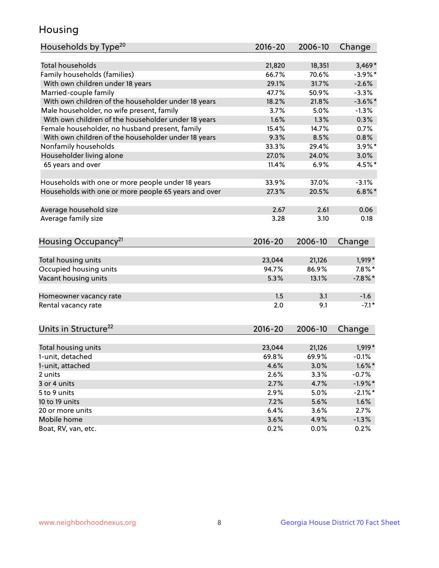## Housing

| Households by Type <sup>20</sup>                     | 2016-20     | 2006-10 | Change     |
|------------------------------------------------------|-------------|---------|------------|
|                                                      |             |         |            |
| Total households                                     | 21,820      | 18,351  | $3,469*$   |
| Family households (families)                         | 66.7%       | 70.6%   | $-3.9\%$ * |
| With own children under 18 years                     | 29.1%       | 31.7%   | $-2.6%$    |
| Married-couple family                                | 47.7%       | 50.9%   | $-3.3%$    |
| With own children of the householder under 18 years  | 18.2%       | 21.8%   | $-3.6\%$ * |
| Male householder, no wife present, family            | 3.7%        | 5.0%    | $-1.3%$    |
| With own children of the householder under 18 years  | 1.6%        | 1.3%    | 0.3%       |
| Female householder, no husband present, family       | 15.4%       | 14.7%   | 0.7%       |
| With own children of the householder under 18 years  | 9.3%        | 8.5%    | 0.8%       |
| Nonfamily households                                 | 33.3%       | 29.4%   | $3.9\%$ *  |
| Householder living alone                             | 27.0%       | 24.0%   | 3.0%       |
| 65 years and over                                    | 11.4%       | 6.9%    | 4.5%*      |
| Households with one or more people under 18 years    | 33.9%       | 37.0%   | $-3.1%$    |
| Households with one or more people 65 years and over | 27.3%       | 20.5%   | $6.8\%$ *  |
| Average household size                               | 2.67        | 2.61    | 0.06       |
| Average family size                                  | 3.28        | 3.10    | 0.18       |
|                                                      |             |         |            |
| Housing Occupancy <sup>21</sup>                      | $2016 - 20$ | 2006-10 | Change     |
| Total housing units                                  | 23,044      | 21,126  | 1,919*     |
| Occupied housing units                               | 94.7%       | 86.9%   | $7.8\%$ *  |
| Vacant housing units                                 | 5.3%        | 13.1%   | $-7.8\%$ * |
|                                                      |             |         |            |
| Homeowner vacancy rate                               | 1.5         | 3.1     | $-1.6$     |
| Rental vacancy rate                                  | 2.0         | 9.1     | $-7.1*$    |
| Units in Structure <sup>22</sup>                     | 2016-20     | 2006-10 | Change     |
| Total housing units                                  | 23,044      | 21,126  | $1,919*$   |
| 1-unit, detached                                     | 69.8%       | 69.9%   | $-0.1%$    |
| 1-unit, attached                                     | 4.6%        | 3.0%    | $1.6\%$ *  |
| 2 units                                              | 2.6%        | 3.3%    | $-0.7%$    |
| 3 or 4 units                                         | 2.7%        | 4.7%    | $-1.9%$ *  |
| 5 to 9 units                                         | 2.9%        | 5.0%    | $-2.1\%$ * |
|                                                      |             |         |            |
| 10 to 19 units                                       | 7.2%        | 5.6%    | 1.6%       |
| 20 or more units                                     | 6.4%        | 3.6%    | 2.7%       |
| Mobile home                                          | 3.6%        | 4.9%    | $-1.3%$    |
| Boat, RV, van, etc.                                  | 0.2%        | $0.0\%$ | 0.2%       |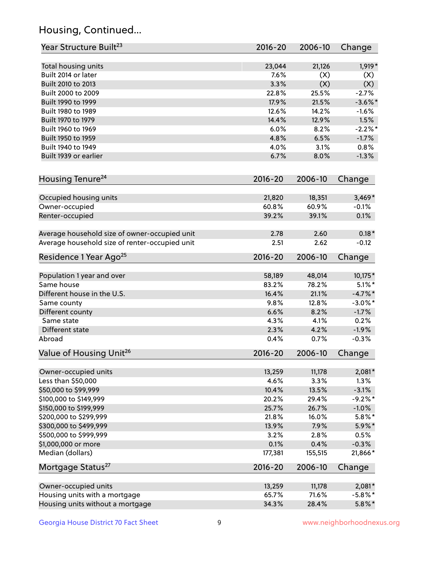## Housing, Continued...

| Year Structure Built <sup>23</sup>             | 2016-20     | 2006-10 | Change     |
|------------------------------------------------|-------------|---------|------------|
| Total housing units                            | 23,044      | 21,126  | 1,919*     |
| Built 2014 or later                            | 7.6%        | (X)     | (X)        |
| Built 2010 to 2013                             | 3.3%        | (X)     | (X)        |
| Built 2000 to 2009                             | 22.8%       | 25.5%   | $-2.7%$    |
| Built 1990 to 1999                             | 17.9%       | 21.5%   | $-3.6\%$ * |
| Built 1980 to 1989                             | 12.6%       | 14.2%   | $-1.6%$    |
| Built 1970 to 1979                             | 14.4%       | 12.9%   | 1.5%       |
| Built 1960 to 1969                             | 6.0%        | 8.2%    | $-2.2%$ *  |
| Built 1950 to 1959                             | 4.8%        | 6.5%    | $-1.7%$    |
| Built 1940 to 1949                             | 4.0%        | 3.1%    | 0.8%       |
| Built 1939 or earlier                          | 6.7%        | 8.0%    | $-1.3%$    |
| Housing Tenure <sup>24</sup>                   | $2016 - 20$ | 2006-10 | Change     |
| Occupied housing units                         | 21,820      | 18,351  | $3,469*$   |
| Owner-occupied                                 | 60.8%       | 60.9%   | $-0.1%$    |
| Renter-occupied                                | 39.2%       | 39.1%   | 0.1%       |
| Average household size of owner-occupied unit  | 2.78        | 2.60    | $0.18*$    |
| Average household size of renter-occupied unit | 2.51        | 2.62    | $-0.12$    |
| Residence 1 Year Ago <sup>25</sup>             | $2016 - 20$ | 2006-10 | Change     |
| Population 1 year and over                     | 58,189      | 48,014  | 10,175*    |
| Same house                                     | 83.2%       | 78.2%   | $5.1\%$ *  |
| Different house in the U.S.                    | 16.4%       | 21.1%   | $-4.7\%$ * |
| Same county                                    | 9.8%        | 12.8%   | $-3.0\%$ * |
| Different county                               | 6.6%        | 8.2%    | $-1.7%$    |
| Same state                                     | 4.3%        | 4.1%    | 0.2%       |
| Different state                                | 2.3%        | 4.2%    | $-1.9%$    |
| Abroad                                         | 0.4%        | 0.7%    | $-0.3%$    |
| Value of Housing Unit <sup>26</sup>            | $2016 - 20$ | 2006-10 | Change     |
| Owner-occupied units                           | 13,259      | 11,178  | 2,081*     |
| Less than \$50,000                             | 4.6%        | 3.3%    | 1.3%       |
| \$50,000 to \$99,999                           | 10.4%       | 13.5%   | $-3.1%$    |
| \$100,000 to \$149,999                         | 20.2%       | 29.4%   | $-9.2%$ *  |
| \$150,000 to \$199,999                         | 25.7%       | 26.7%   | $-1.0\%$   |
| \$200,000 to \$299,999                         | 21.8%       | 16.0%   | $5.8\%$ *  |
| \$300,000 to \$499,999                         | 13.9%       | 7.9%    | 5.9%*      |
| \$500,000 to \$999,999                         | 3.2%        | 2.8%    | 0.5%       |
| \$1,000,000 or more                            | 0.1%        | 0.4%    | $-0.3%$    |
| Median (dollars)                               | 177,381     | 155,515 | $21,866*$  |
| Mortgage Status <sup>27</sup>                  | $2016 - 20$ | 2006-10 | Change     |
| Owner-occupied units                           | 13,259      | 11,178  | $2,081*$   |
| Housing units with a mortgage                  | 65.7%       | 71.6%   | $-5.8\%$ * |
| Housing units without a mortgage               | 34.3%       | 28.4%   | $5.8\%$ *  |
|                                                |             |         |            |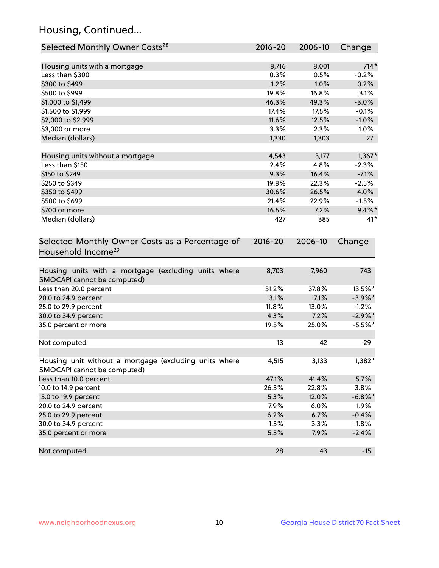## Housing, Continued...

| Selected Monthly Owner Costs <sup>28</sup>                                            | 2016-20     | 2006-10 | Change     |
|---------------------------------------------------------------------------------------|-------------|---------|------------|
| Housing units with a mortgage                                                         | 8,716       | 8,001   | $714*$     |
| Less than \$300                                                                       | 0.3%        | 0.5%    | $-0.2%$    |
| \$300 to \$499                                                                        | 1.2%        | 1.0%    | 0.2%       |
| \$500 to \$999                                                                        | 19.8%       | 16.8%   | 3.1%       |
| \$1,000 to \$1,499                                                                    | 46.3%       | 49.3%   | $-3.0%$    |
| \$1,500 to \$1,999                                                                    | 17.4%       | 17.5%   | $-0.1%$    |
| \$2,000 to \$2,999                                                                    | 11.6%       | 12.5%   | $-1.0%$    |
| \$3,000 or more                                                                       | 3.3%        | 2.3%    | 1.0%       |
| Median (dollars)                                                                      | 1,330       | 1,303   | 27         |
| Housing units without a mortgage                                                      | 4,543       | 3,177   | $1,367*$   |
| Less than \$150                                                                       | 2.4%        | 4.8%    | $-2.3%$    |
| \$150 to \$249                                                                        | 9.3%        | 16.4%   | $-7.1%$    |
| \$250 to \$349                                                                        | 19.8%       | 22.3%   | $-2.5%$    |
| \$350 to \$499                                                                        | 30.6%       | 26.5%   | 4.0%       |
| \$500 to \$699                                                                        | 21.4%       | 22.9%   | $-1.5%$    |
| \$700 or more                                                                         | 16.5%       | 7.2%    | $9.4\%$ *  |
| Median (dollars)                                                                      | 427         | 385     | $41*$      |
| Selected Monthly Owner Costs as a Percentage of<br>Household Income <sup>29</sup>     | $2016 - 20$ | 2006-10 | Change     |
| Housing units with a mortgage (excluding units where<br>SMOCAPI cannot be computed)   | 8,703       | 7,960   | 743        |
| Less than 20.0 percent                                                                | 51.2%       | 37.8%   | 13.5%*     |
| 20.0 to 24.9 percent                                                                  | 13.1%       | 17.1%   | $-3.9\%$ * |
| 25.0 to 29.9 percent                                                                  | 11.8%       | 13.0%   | $-1.2%$    |
| 30.0 to 34.9 percent                                                                  | 4.3%        | 7.2%    | $-2.9\%$ * |
| 35.0 percent or more                                                                  | 19.5%       | 25.0%   | $-5.5%$ *  |
| Not computed                                                                          | 13          | 42      | $-29$      |
| Housing unit without a mortgage (excluding units where<br>SMOCAPI cannot be computed) | 4,515       | 3,133   | 1,382*     |
| Less than 10.0 percent                                                                | 47.1%       | 41.4%   | 5.7%       |
| 10.0 to 14.9 percent                                                                  | 26.5%       | 22.8%   | 3.8%       |
| 15.0 to 19.9 percent                                                                  | 5.3%        | 12.0%   | $-6.8\%$ * |
| 20.0 to 24.9 percent                                                                  | 7.9%        | 6.0%    | 1.9%       |
| 25.0 to 29.9 percent                                                                  | 6.2%        | 6.7%    | $-0.4%$    |
| 30.0 to 34.9 percent                                                                  | 1.5%        | 3.3%    | $-1.8%$    |
| 35.0 percent or more                                                                  | 5.5%        | 7.9%    | $-2.4%$    |
| Not computed                                                                          | 28          | 43      | $-15$      |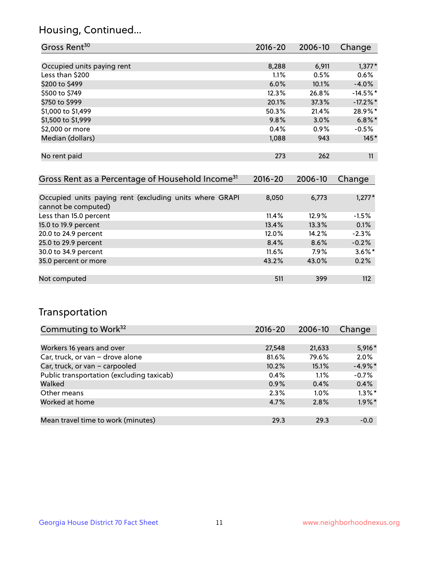## Housing, Continued...

| Gross Rent <sup>30</sup>   | 2016-20 | 2006-10 | Change      |
|----------------------------|---------|---------|-------------|
|                            |         |         |             |
| Occupied units paying rent | 8,288   | 6,911   | $1,377*$    |
| Less than \$200            | 1.1%    | 0.5%    | 0.6%        |
| \$200 to \$499             | 6.0%    | 10.1%   | $-4.0%$     |
| \$500 to \$749             | 12.3%   | 26.8%   | $-14.5%$ *  |
| \$750 to \$999             | 20.1%   | 37.3%   | $-17.2\%$ * |
| \$1,000 to \$1,499         | 50.3%   | 21.4%   | 28.9%*      |
| \$1,500 to \$1,999         | 9.8%    | 3.0%    | $6.8\%$ *   |
| \$2,000 or more            | 0.4%    | 0.9%    | $-0.5%$     |
| Median (dollars)           | 1,088   | 943     | $145*$      |
|                            |         |         |             |
| No rent paid               | 273     | 262     | 11          |
|                            |         |         |             |

| Gross Rent as a Percentage of Household Income <sup>31</sup>                   | $2016 - 20$ | 2006-10 | Change    |
|--------------------------------------------------------------------------------|-------------|---------|-----------|
|                                                                                |             |         |           |
| Occupied units paying rent (excluding units where GRAPI<br>cannot be computed) | 8,050       | 6,773   | $1,277*$  |
| Less than 15.0 percent                                                         | 11.4%       | 12.9%   | $-1.5%$   |
| 15.0 to 19.9 percent                                                           | 13.4%       | 13.3%   | 0.1%      |
| 20.0 to 24.9 percent                                                           | 12.0%       | 14.2%   | $-2.3%$   |
| 25.0 to 29.9 percent                                                           | 8.4%        | 8.6%    | $-0.2%$   |
| 30.0 to 34.9 percent                                                           | $11.6\%$    | 7.9%    | $3.6\%$ * |
| 35.0 percent or more                                                           | 43.2%       | 43.0%   | 0.2%      |
| Not computed                                                                   | 511         | 399     | 112       |

## Transportation

| Commuting to Work <sup>32</sup>           | 2016-20 | 2006-10 | Change     |
|-------------------------------------------|---------|---------|------------|
|                                           |         |         |            |
| Workers 16 years and over                 | 27,548  | 21,633  | $5,916*$   |
| Car, truck, or van - drove alone          | 81.6%   | 79.6%   | 2.0%       |
| Car, truck, or van - carpooled            | 10.2%   | 15.1%   | $-4.9\%$ * |
| Public transportation (excluding taxicab) | 0.4%    | 1.1%    | $-0.7%$    |
| Walked                                    | 0.9%    | 0.4%    | 0.4%       |
| Other means                               | 2.3%    | $1.0\%$ | $1.3\%$ *  |
| Worked at home                            | 4.7%    | 2.8%    | $1.9\%$ *  |
|                                           |         |         |            |
| Mean travel time to work (minutes)        | 29.3    | 29.3    | $-0.0$     |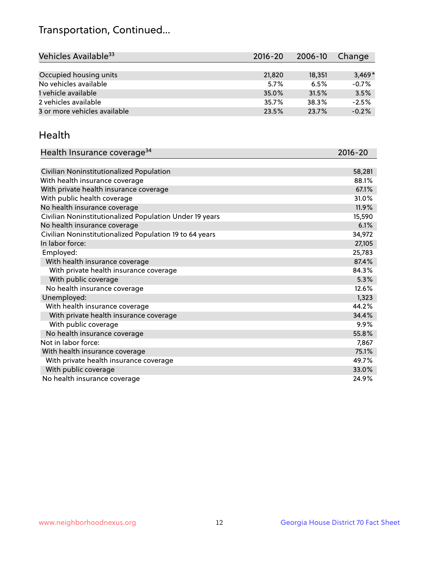## Transportation, Continued...

| Vehicles Available <sup>33</sup> | $2016 - 20$ | 2006-10 | Change   |
|----------------------------------|-------------|---------|----------|
|                                  |             |         |          |
| Occupied housing units           | 21,820      | 18,351  | $3.469*$ |
| No vehicles available            | 5.7%        | 6.5%    | $-0.7%$  |
| 1 vehicle available              | 35.0%       | 31.5%   | 3.5%     |
| 2 vehicles available             | 35.7%       | 38.3%   | $-2.5%$  |
| 3 or more vehicles available     | 23.5%       | 23.7%   | $-0.2%$  |

#### Health

| Health Insurance coverage <sup>34</sup>                 | 2016-20 |
|---------------------------------------------------------|---------|
|                                                         |         |
| Civilian Noninstitutionalized Population                | 58,281  |
| With health insurance coverage                          | 88.1%   |
| With private health insurance coverage                  | 67.1%   |
| With public health coverage                             | 31.0%   |
| No health insurance coverage                            | 11.9%   |
| Civilian Noninstitutionalized Population Under 19 years | 15,590  |
| No health insurance coverage                            | 6.1%    |
| Civilian Noninstitutionalized Population 19 to 64 years | 34,972  |
| In labor force:                                         | 27,105  |
| Employed:                                               | 25,783  |
| With health insurance coverage                          | 87.4%   |
| With private health insurance coverage                  | 84.3%   |
| With public coverage                                    | 5.3%    |
| No health insurance coverage                            | 12.6%   |
| Unemployed:                                             | 1,323   |
| With health insurance coverage                          | 44.2%   |
| With private health insurance coverage                  | 34.4%   |
| With public coverage                                    | $9.9\%$ |
| No health insurance coverage                            | 55.8%   |
| Not in labor force:                                     | 7,867   |
| With health insurance coverage                          | 75.1%   |
| With private health insurance coverage                  | 49.7%   |
| With public coverage                                    | 33.0%   |
| No health insurance coverage                            | 24.9%   |